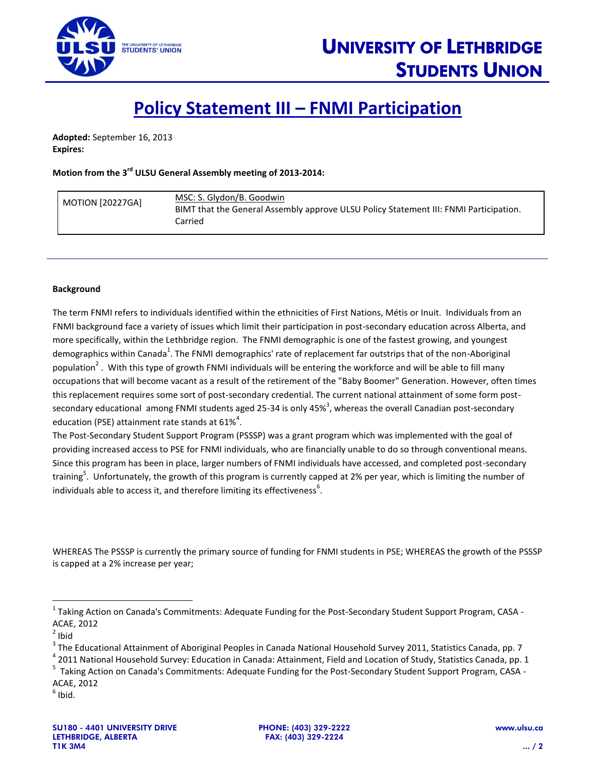

## **Policy Statement III – FNMI Participation**

**Adopted:** September 16, 2013 **Expires:**

## Motion from the 3<sup>rd</sup> ULSU General Assembly meeting of 2013-2014:

| <b>MOTION [20227GA]</b> | MSC: S. Glydon/B. Goodwin<br>BIMT that the General Assembly approve ULSU Policy Statement III: FNMI Participation.<br>Carried |
|-------------------------|-------------------------------------------------------------------------------------------------------------------------------|
|                         |                                                                                                                               |

## **Background**

The term FNMI refers to individuals identified within the ethnicities of First Nations, Métis or Inuit. Individuals from an FNMI background face a variety of issues which limit their participation in post-secondary education across Alberta, and more specifically, within the Lethbridge region. The FNMI demographic is one of the fastest growing, and youngest demographics within Canada<sup>1</sup>. The FNMI demographics' rate of replacement far outstrips that of the non-Aboriginal population<sup>2</sup>. With this type of growth FNMI individuals will be entering the workforce and will be able to fill many occupations that will become vacant as a result of the retirement of the "Baby Boomer" Generation. However, often times this replacement requires some sort of post-secondary credential. The current national attainment of some form postsecondary educational among FNMI students aged 25-34 is only 45%<sup>3</sup>, whereas the overall Canadian post-secondary education (PSE) attainment rate stands at 61%<sup>4</sup>.

The Post-Secondary Student Support Program (PSSSP) was a grant program which was implemented with the goal of providing increased access to PSE for FNMI individuals, who are financially unable to do so through conventional means. Since this program has been in place, larger numbers of FNMI individuals have accessed, and completed post-secondary training<sup>5</sup>. Unfortunately, the growth of this program is currently capped at 2% per year, which is limiting the number of individuals able to access it, and therefore limiting its effectiveness<sup>6</sup>.

WHEREAS The PSSSP is currently the primary source of funding for FNMI students in PSE; WHEREAS the growth of the PSSSP is capped at a 2% increase per year;

 $\overline{\phantom{a}}$ 

<sup>&</sup>lt;sup>1</sup> Taking Action on Canada's Commitments: Adequate Funding for the Post-Secondary Student Support Program, CASA -ACAE, 2012

 $2$  Ibid

<sup>&</sup>lt;sup>3</sup> The Educational Attainment of Aboriginal Peoples in Canada National Household Survey 2011, Statistics Canada, pp. 7

<sup>&</sup>lt;sup>4</sup> 2011 National Household Survey: Education in Canada: Attainment, Field and Location of Study, Statistics Canada, pp. 1

<sup>&</sup>lt;sup>5</sup> Taking Action on Canada's Commitments: Adequate Funding for the Post-Secondary Student Support Program, CASA -ACAE, 2012

 $<sup>6</sup>$  Ibid.</sup>